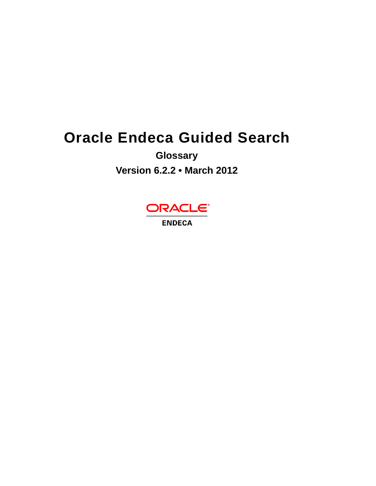# **Oracle Endeca Guided Search**

**Glossary**

**Version 6.2.2 • March 2012**



**ENDECA**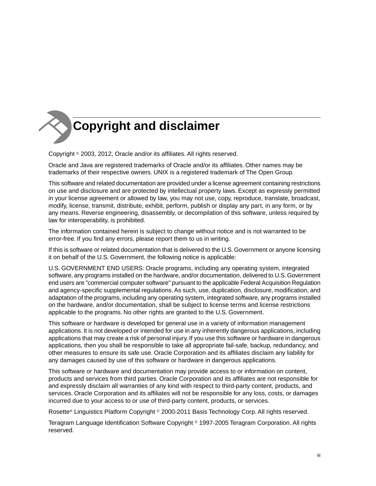

Copyright © 2003, 2012, Oracle and/or its affiliates. All rights reserved.

Oracle and Java are registered trademarks of Oracle and/or its affiliates. Other names may be trademarks of their respective owners. UNIX is a registered trademark of The Open Group.

This software and related documentation are provided under a license agreement containing restrictions on use and disclosure and are protected by intellectual property laws. Except as expressly permitted in your license agreement or allowed by law, you may not use, copy, reproduce, translate, broadcast, modify, license, transmit, distribute, exhibit, perform, publish or display any part, in any form, or by any means. Reverse engineering, disassembly, or decompilation of this software, unless required by law for interoperability, is prohibited.

The information contained herein is subject to change without notice and is not warranted to be error-free. If you find any errors, please report them to us in writing.

If this is software or related documentation that is delivered to the U.S. Government or anyone licensing it on behalf of the U.S. Government, the following notice is applicable:

U.S. GOVERNMENT END USERS: Oracle programs, including any operating system, integrated software, any programs installed on the hardware, and/or documentation, delivered to U.S. Government end users are "commercial computer software" pursuant to the applicable Federal Acquisition Regulation and agency-specific supplemental regulations. As such, use, duplication, disclosure, modification, and adaptation of the programs, including any operating system, integrated software, any programs installed on the hardware, and/or documentation, shall be subject to license terms and license restrictions applicable to the programs. No other rights are granted to the U.S. Government.

This software or hardware is developed for general use in a variety of information management applications. It is not developed or intended for use in any inherently dangerous applications, including applications that may create a risk of personal injury. If you use this software or hardware in dangerous applications, then you shall be responsible to take all appropriate fail-safe, backup, redundancy, and other measures to ensure its safe use. Oracle Corporation and its affiliates disclaim any liability for any damages caused by use of this software or hardware in dangerous applications.

This software or hardware and documentation may provide access to or information on content, products and services from third parties. Oracle Corporation and its affiliates are not responsible for and expressly disclaim all warranties of any kind with respect to third-party content, products, and services. Oracle Corporation and its affiliates will not be responsible for any loss, costs, or damages incurred due to your access to or use of third-party content, products, or services.

Rosette® Linguistics Platform Copyright © 2000-2011 Basis Technology Corp. All rights reserved.

Teragram Language Identification Software Copyright © 1997-2005 Teragram Corporation. All rights reserved.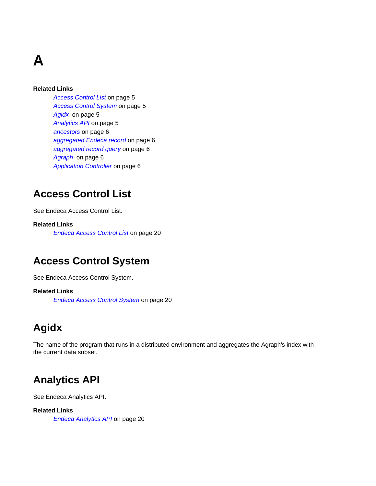# **A**

#### **Related Links**

*[Access Control List](#page-4-0)* on page 5 *[Access Control System](#page-4-1)* on page 5 *[Agidx](#page-4-2)* on page 5 *[Analytics API](#page-4-3)* on page 5 *[ancestors](#page-5-0)* on page 6 *[aggregated Endeca record](#page-5-1)* on page 6 *[aggregated record query](#page-5-2)* on page 6 *[Agraph](#page-5-3)* on page 6 *[Application Controller](#page-5-4)* on page 6

### <span id="page-4-0"></span>**Access Control List**

See Endeca Access Control List.

#### <span id="page-4-1"></span>**Related Links**

*[Endeca Access Control List](#page-19-0)* on page 20

### **Access Control System**

See Endeca Access Control System.

#### <span id="page-4-2"></span>**Related Links**

*[Endeca Access Control System](#page-19-1)* on page 20

## **Agidx**

<span id="page-4-3"></span>The name of the program that runs in a distributed environment and aggregates the Agraph's index with the current data subset.

### **Analytics API**

See Endeca Analytics API.

#### **Related Links**

*[Endeca Analytics API](#page-19-2)* on page 20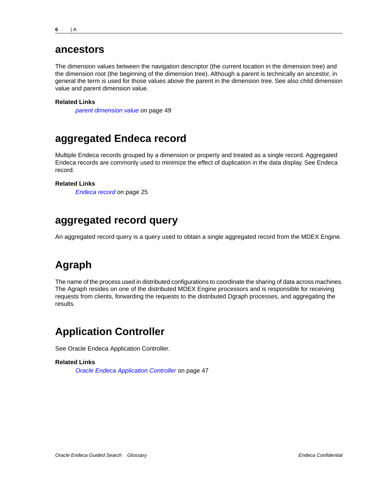#### <span id="page-5-0"></span>**ancestors**

The dimension values between the navigation descriptor (the current location in the dimension tree) and the dimension root (the beginning of the dimension tree). Although a parent is technically an ancestor, in general the term is used for those values above the parent in the dimension tree. See also child dimension value and parent dimension value.

#### **Related Links**

*[parent dimension value](#page-48-0)* on page 49

### <span id="page-5-1"></span>**aggregated Endeca record**

Multiple Endeca records grouped by a dimension or property and treated as a single record. Aggregated Endeca records are commonly used to minimize the effect of duplication in the data display. See Endeca record.

#### <span id="page-5-2"></span>**Related Links**

*[Endeca record](#page-24-0)* on page 25

### **aggregated record query**

<span id="page-5-3"></span>An aggregated record query is a query used to obtain a single aggregated record from the MDEX Engine.

## **Agraph**

<span id="page-5-4"></span>The name of the process used in distributed configurations to coordinate the sharing of data across machines. The Agraph resides on one of the distributed MDEX Engine processors and is responsible for receiving requests from clients, forwarding the requests to the distributed Dgraph processes, and aggregating the results.

### **Application Controller**

See Oracle Endeca Application Controller.

#### **Related Links**

*[Oracle Endeca Application Controller](#page-46-0)* on page 47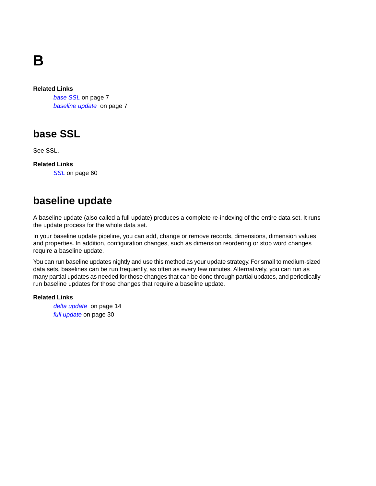# **B**

#### **Related Links**

*[base SSL](#page-6-0)* on page 7 *[baseline update](#page-6-1)* on page 7

### <span id="page-6-0"></span>**base SSL**

See SSL.

<span id="page-6-1"></span>**Related Links** *[SSL](#page-59-0)* on page 60

### **baseline update**

A baseline update (also called a full update) produces a complete re-indexing of the entire data set. It runs the update process for the whole data set.

In your baseline update pipeline, you can add, change or remove records, dimensions, dimension values and properties. In addition, configuration changes, such as dimension reordering or stop word changes require a baseline update.

You can run baseline updates nightly and use this method as your update strategy. For small to medium-sized data sets, baselines can be run frequently, as often as every few minutes. Alternatively, you can run as many partial updates as needed for those changes that can be done through partial updates, and periodically run baseline updates for those changes that require a baseline update.

#### **Related Links**

*[delta update](#page-13-0)* on page 14 *[full update](#page-29-0)* on page 30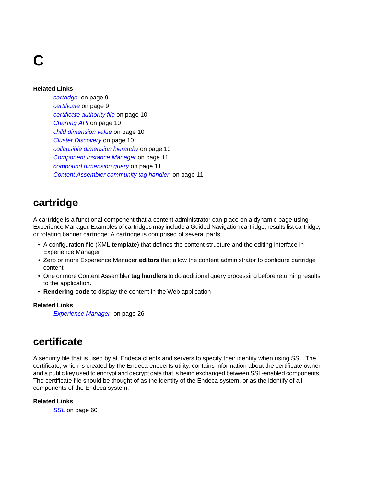# **C**

#### **Related Links**

*[cartridge](#page-8-0)* on page 9 *[certificate](#page-8-1)* on page 9 *[certificate authority file](#page-9-0)* on page 10 *[Charting API](#page-9-1)* on page 10 *[child dimension value](#page-9-2)* on page 10 *[Cluster Discovery](#page-9-3)* on page 10 *[collapsible dimension hierarchy](#page-9-4)* on page 10 *[Component Instance Manager](#page-10-0)* on page 11 *[compound dimension query](#page-10-1)* on page 11 *[Content Assembler community tag handler](#page-10-2)* on page 11

### <span id="page-8-0"></span>**cartridge**

A cartridge is a functional component that a content administrator can place on a dynamic page using Experience Manager. Examples of cartridges may include a Guided Navigation cartridge, results list cartridge, or rotating banner cartridge. A cartridge is comprised of several parts:

- A configuration file (XML **template**) that defines the content structure and the editing interface in Experience Manager
- Zero or more Experience Manager **editors** that allow the content administrator to configure cartridge content
- One or more Content Assembler **tag handlers** to do additional query processing before returning results to the application.
- **Rendering code** to display the content in the Web application

#### <span id="page-8-1"></span>**Related Links**

*[Experience Manager](#page-25-0)* on page 26

### **certificate**

A security file that is used by all Endeca clients and servers to specify their identity when using SSL. The certificate, which is created by the Endeca enecerts utility, contains information about the certificate owner and a public key used to encrypt and decrypt data that is being exchanged between SSL-enabled components. The certificate file should be thought of as the identity of the Endeca system, or as the identify of all components of the Endeca system.

#### **Related Links**

*[SSL](#page-59-0)* on page 60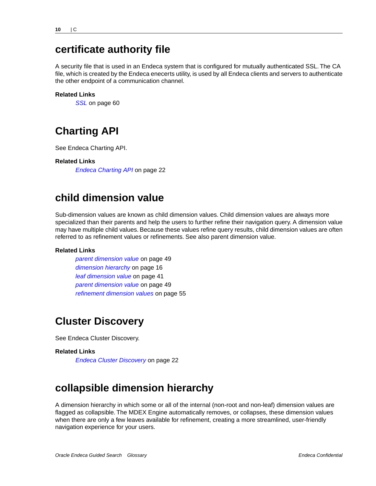### <span id="page-9-0"></span>**certificate authority file**

A security file that is used in an Endeca system that is configured for mutually authenticated SSL. The CA file, which is created by the Endeca enecerts utility, is used by all Endeca clients and servers to authenticate the other endpoint of a communication channel.

#### **Related Links**

*[SSL](#page-59-0)* on page 60

### <span id="page-9-1"></span>**Charting API**

See Endeca Charting API.

#### <span id="page-9-2"></span>**Related Links**

*[Endeca Charting API](#page-21-0)* on page 22

### **child dimension value**

Sub-dimension values are known as child dimension values. Child dimension values are always more specialized than their parents and help the users to further refine their navigation query. A dimension value may have multiple child values. Because these values refine query results, child dimension values are often referred to as refinement values or refinements. See also parent dimension value.

#### **Related Links**

*[parent dimension value](#page-48-0)* on page 49 *[dimension hierarchy](#page-15-0)* on page 16 *[leaf dimension value](#page-40-0)* on page 41 *[parent dimension value](#page-48-0)* on page 49 *[refinement dimension values](#page-54-0)* on page 55

### <span id="page-9-3"></span>**Cluster Discovery**

See Endeca Cluster Discovery.

#### <span id="page-9-4"></span>**Related Links**

*[Endeca Cluster Discovery](#page-21-1)* on page 22

### **collapsible dimension hierarchy**

A dimension hierarchy in which some or all of the internal (non-root and non-leaf) dimension values are flagged as collapsible. The MDEX Engine automatically removes, or collapses, these dimension values when there are only a few leaves available for refinement, creating a more streamlined, user-friendly navigation experience for your users.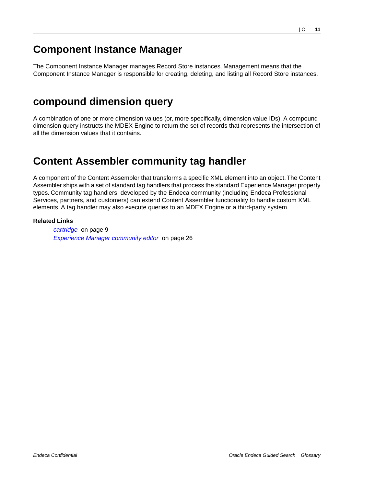### <span id="page-10-0"></span>**Component Instance Manager**

The Component Instance Manager manages Record Store instances. Management means that the Component Instance Manager is responsible for creating, deleting, and listing all Record Store instances.

### <span id="page-10-1"></span>**compound dimension query**

A combination of one or more dimension values (or, more specifically, dimension value IDs). A compound dimension query instructs the MDEX Engine to return the set of records that represents the intersection of all the dimension values that it contains.

### <span id="page-10-2"></span>**Content Assembler community tag handler**

A component of the Content Assembler that transforms a specific XML element into an object.The Content Assembler ships with a set of standard tag handlers that process the standard Experience Manager property types. Community tag handlers, developed by the Endeca community (including Endeca Professional Services, partners, and customers) can extend Content Assembler functionality to handle custom XML elements. A tag handler may also execute queries to an MDEX Engine or a third-party system.

#### **Related Links**

*[cartridge](#page-8-0)* on page 9 *[Experience Manager community editor](#page-25-1)* on page 26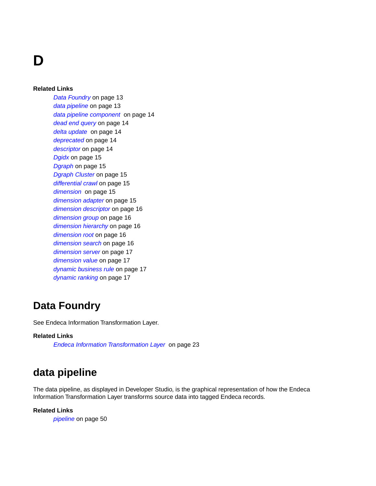**D**

#### **Related Links**

*[Data Foundry](#page-12-0)* on page 13 *[data pipeline](#page-12-1)* on page 13 *[data pipeline component](#page-13-1)* on page 14 *[dead end query](#page-13-2)* on page 14 *[delta update](#page-13-0)* on page 14 *[deprecated](#page-13-3)* on page 14 *[descriptor](#page-13-4)* on page 14 *[Dgidx](#page-14-0)* on page 15 *[Dgraph](#page-14-1)* on page 15 *[Dgraph Cluster](#page-14-2)* on page 15 *[differential crawl](#page-14-3)* on page 15 *[dimension](#page-14-4)* on page 15 *[dimension adapter](#page-14-5)* on page 15 *[dimension descriptor](#page-15-1)* on page 16 *[dimension group](#page-15-2)* on page 16 *[dimension hierarchy](#page-15-0)* on page 16 *[dimension root](#page-15-3)* on page 16 *[dimension search](#page-15-4)* on page 16 *[dimension server](#page-16-0)* on page 17 *[dimension value](#page-16-1)* on page 17 *[dynamic business rule](#page-16-2)* on page 17 *[dynamic ranking](#page-16-3)* on page 17

#### <span id="page-12-0"></span>**Data Foundry**

See Endeca Information Transformation Layer.

#### <span id="page-12-1"></span>**Related Links**

*[Endeca Information Transformation Layer](#page-22-0)* on page 23

### **data pipeline**

The data pipeline, as displayed in Developer Studio, is the graphical representation of how the Endeca Information Transformation Layer transforms source data into tagged Endeca records.

#### **Related Links**

*[pipeline](#page-49-0)* on page 50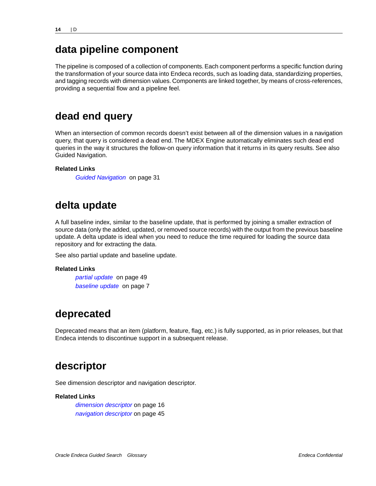## <span id="page-13-1"></span>**data pipeline component**

The pipeline is composed of a collection of components. Each component performs a specific function during the transformation of your source data into Endeca records, such as loading data, standardizing properties, and tagging records with dimension values. Components are linked together, by means of cross-references, providing a sequential flow and a pipeline feel.

### <span id="page-13-2"></span>**dead end query**

When an intersection of common records doesn't exist between all of the dimension values in a navigation query, that query is considered a dead end. The MDEX Engine automatically eliminates such dead end queries in the way it structures the follow-on query information that it returns in its query results. See also Guided Navigation.

#### <span id="page-13-0"></span>**Related Links**

*[Guided Navigation](#page-30-0)* on page 31

### **delta update**

A full baseline index, similar to the baseline update, that is performed by joining a smaller extraction of source data (only the added, updated, or removed source records) with the output from the previous baseline update. A delta update is ideal when you need to reduce the time required for loading the source data repository and for extracting the data.

See also partial update and baseline update.

#### <span id="page-13-3"></span>**Related Links**

*[partial update](#page-48-1)* on page 49 *[baseline update](#page-6-1)* on page 7

### **deprecated**

<span id="page-13-4"></span>Deprecated means that an item (platform, feature, flag, etc.) is fully supported, as in prior releases, but that Endeca intends to discontinue support in a subsequent release.

### **descriptor**

See dimension descriptor and navigation descriptor.

#### **Related Links**

*[dimension descriptor](#page-15-1)* on page 16 *[navigation descriptor](#page-44-0)* on page 45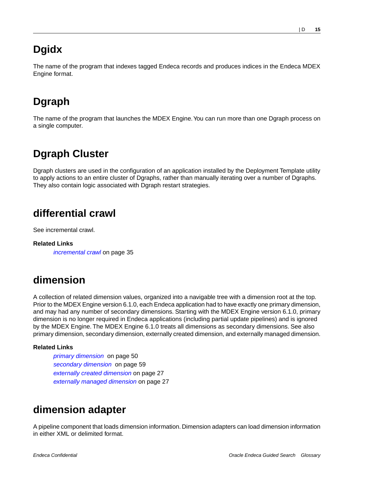## <span id="page-14-0"></span>**Dgidx**

The name of the program that indexes tagged Endeca records and produces indices in the Endeca MDEX Engine format.

## <span id="page-14-1"></span>**Dgraph**

The name of the program that launches the MDEX Engine.You can run more than one Dgraph process on a single computer.

## <span id="page-14-2"></span>**Dgraph Cluster**

<span id="page-14-3"></span>Dgraph clusters are used in the configuration of an application installed by the Deployment Template utility to apply actions to an entire cluster of Dgraphs, rather than manually iterating over a number of Dgraphs. They also contain logic associated with Dgraph restart strategies.

## **differential crawl**

See incremental crawl.

<span id="page-14-4"></span>**Related Links** *[incremental crawl](#page-34-0)* on page 35

## **dimension**

A collection of related dimension values, organized into a navigable tree with a dimension root at the top. Prior to the MDEX Engine version 6.1.0, each Endeca application had to have exactly one primary dimension, and may had any number of secondary dimensions. Starting with the MDEX Engine version 6.1.0, primary dimension is no longer required in Endeca applications (including partial update pipelines) and is ignored by the MDEX Engine. The MDEX Engine 6.1.0 treats all dimensions as secondary dimensions. See also primary dimension, secondary dimension, externally created dimension, and externally managed dimension.

#### <span id="page-14-5"></span>**Related Links**

*[primary dimension](#page-49-1)* on page 50 *[secondary dimension](#page-58-0)* on page 59 *[externally created dimension](#page-26-0)* on page 27 *[externally managed dimension](#page-26-1)* on page 27

### **dimension adapter**

A pipeline component that loads dimension information. Dimension adapters can load dimension information in either XML or delimited format.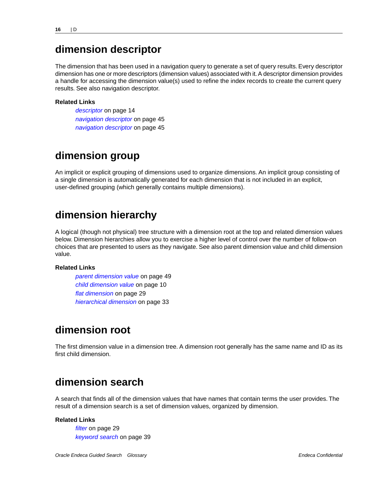### <span id="page-15-1"></span>**dimension descriptor**

The dimension that has been used in a navigation query to generate a set of query results. Every descriptor dimension has one or more descriptors (dimension values) associated with it. A descriptor dimension provides a handle for accessing the dimension value(s) used to refine the index records to create the current query results. See also navigation descriptor.

#### **Related Links**

*[descriptor](#page-13-4)* on page 14 *[navigation descriptor](#page-44-0)* on page 45 *[navigation descriptor](#page-44-0)* on page 45

#### <span id="page-15-2"></span>**dimension group**

<span id="page-15-0"></span>An implicit or explicit grouping of dimensions used to organize dimensions. An implicit group consisting of a single dimension is automatically generated for each dimension that is not included in an explicit, user-defined grouping (which generally contains multiple dimensions).

### **dimension hierarchy**

A logical (though not physical) tree structure with a dimension root at the top and related dimension values below. Dimension hierarchies allow you to exercise a higher level of control over the number of follow-on choices that are presented to users as they navigate. See also parent dimension value and child dimension value.

#### <span id="page-15-3"></span>**Related Links**

*[parent dimension value](#page-48-0)* on page 49 *[child dimension value](#page-9-2)* on page 10 *[flat dimension](#page-28-0)* on page 29 *[hierarchical dimension](#page-32-0)* on page 33

### **dimension root**

<span id="page-15-4"></span>The first dimension value in a dimension tree. A dimension root generally has the same name and ID as its first child dimension.

### **dimension search**

A search that finds all of the dimension values that have names that contain terms the user provides. The result of a dimension search is a set of dimension values, organized by dimension.

#### **Related Links**

*[filter](#page-28-1)* on page 29 *[keyword search](#page-38-0)* on page 39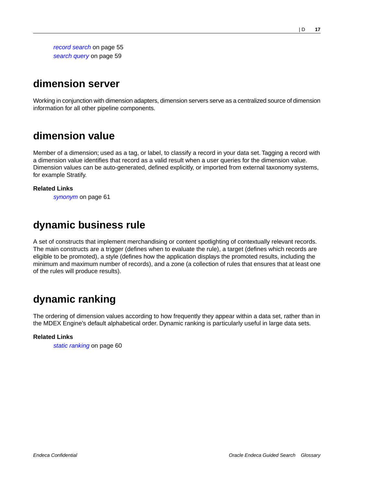*[record search](#page-54-1)* on page 55 *[search query](#page-58-1)* on page 59

### <span id="page-16-0"></span>**dimension server**

Working in conjunction with dimension adapters, dimension servers serve as a centralized source of dimension information for all other pipeline components.

### <span id="page-16-1"></span>**dimension value**

Member of a dimension; used as a tag, or label, to classify a record in your data set. Tagging a record with a dimension value identifies that record as a valid result when a user queries for the dimension value. Dimension values can be auto-generated, defined explicitly, or imported from external taxonomy systems, for example Stratify.

#### <span id="page-16-2"></span>**Related Links**

*[synonym](#page-60-0)* on page 61

### **dynamic business rule**

<span id="page-16-3"></span>A set of constructs that implement merchandising or content spotlighting of contextually relevant records. The main constructs are a trigger (defines when to evaluate the rule), a target (defines which records are eligible to be promoted), a style (defines how the application displays the promoted results, including the minimum and maximum number of records), and a zone (a collection of rules that ensures that at least one of the rules will produce results).

## **dynamic ranking**

The ordering of dimension values according to how frequently they appear within a data set, rather than in the MDEX Engine's default alphabetical order. Dynamic ranking is particularly useful in large data sets.

#### **Related Links**

*[static ranking](#page-59-1)* on page 60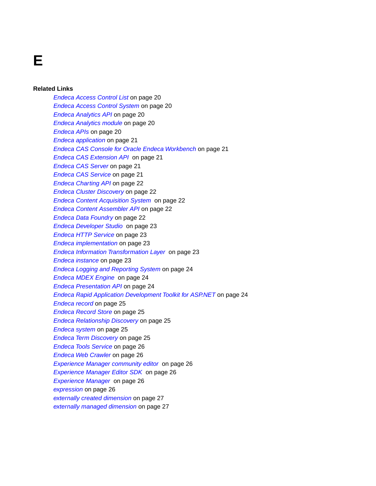# **E**

#### **Related Links**

*[Endeca Access Control List](#page-19-0)* on page 20 *[Endeca Access Control System](#page-19-1)* on page 20 *[Endeca Analytics API](#page-19-2)* on page 20 *[Endeca Analytics module](#page-19-3)* on page 20 *[Endeca APIs](#page-19-4)* on page 20 *[Endeca application](#page-20-0)* on page 21 *[Endeca CAS Console for Oracle Endeca Workbench](#page-20-1)* on page 21 *[Endeca CAS Extension API](#page-20-2)* on page 21 *[Endeca CAS Server](#page-20-3)* on page 21 *[Endeca CAS Service](#page-20-4)* on page 21 *[Endeca Charting API](#page-21-0)* on page 22 *[Endeca Cluster Discovery](#page-21-1)* on page 22 *[Endeca Content Acquisition System](#page-21-2)* on page 22 *[Endeca Content Assembler API](#page-21-3)* on page 22 *[Endeca Data Foundry](#page-21-4)* on page 22 *[Endeca Developer Studio](#page-22-1)* on page 23 *[Endeca HTTP Service](#page-22-2)* on page 23 *[Endeca implementation](#page-22-3)* on page 23 *[Endeca Information Transformation Layer](#page-22-0)* on page 23 *[Endeca instance](#page-22-4)* on page 23 *[Endeca Logging and Reporting System](#page-23-0)* on page 24 *[Endeca MDEX Engine](#page-23-1)* on page 24 *[Endeca Presentation API](#page-23-2)* on page 24 *[Endeca Rapid Application Development Toolkit for ASP.NET](#page-23-3)* on page 24 *[Endeca record](#page-24-0)* on page 25 *[Endeca Record Store](#page-24-1)* on page 25 *[Endeca Relationship Discovery](#page-24-2)* on page 25 *[Endeca system](#page-24-3)* on page 25 *[Endeca Term Discovery](#page-24-4)* on page 25 *[Endeca Tools Service](#page-25-2)* on page 26 *[Endeca Web Crawler](#page-25-3)* on page 26 *[Experience Manager community editor](#page-25-1)* on page 26 *[Experience Manager Editor SDK](#page-25-4)* on page 26 *[Experience Manager](#page-25-0)* on page 26 *[expression](#page-25-5)* on page 26 *[externally created dimension](#page-26-0)* on page 27 *[externally managed dimension](#page-26-1)* on page 27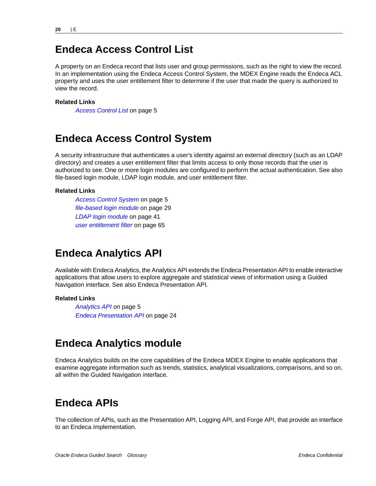### <span id="page-19-0"></span>**Endeca Access Control List**

A property on an Endeca record that lists user and group permissions, such as the right to view the record. In an implementation using the Endeca Access Control System, the MDEX Engine reads the Endeca ACL property and uses the user entitlement filter to determine if the user that made the query is authorized to view the record.

#### **Related Links**

*[Access Control List](#page-4-0)* on page 5

### <span id="page-19-1"></span>**Endeca Access Control System**

A security infrastructure that authenticates a user's identity against an external directory (such as an LDAP directory) and creates a user entitlement filter that limits access to only those records that the user is authorized to see. One or more login modules are configured to perform the actual authentication. See also file-based login module, LDAP login module, and user entitlement filter.

#### **Related Links**

*[Access Control System](#page-4-1)* on page 5 *[file-based login module](#page-28-2)* on page 29 *[LDAP login module](#page-40-1)* on page 41 *[user entitlement filter](#page-64-0)* on page 65

### <span id="page-19-2"></span>**Endeca Analytics API**

Available with Endeca Analytics, the Analytics API extends the Endeca Presentation API to enable interactive applications that allow users to explore aggregate and statistical views of information using a Guided Navigation interface. See also Endeca Presentation API.

#### <span id="page-19-3"></span>**Related Links**

*[Analytics API](#page-4-3)* on page 5 *[Endeca Presentation API](#page-23-2)* on page 24

### **Endeca Analytics module**

<span id="page-19-4"></span>Endeca Analytics builds on the core capabilities of the Endeca MDEX Engine to enable applications that examine aggregate information such as trends, statistics, analytical visualizations, comparisons, and so on, all within the Guided Navigation interface.

### **Endeca APIs**

The collection of APIs, such as the Presentation API, Logging API, and Forge API, that provide an interface to an Endeca implementation.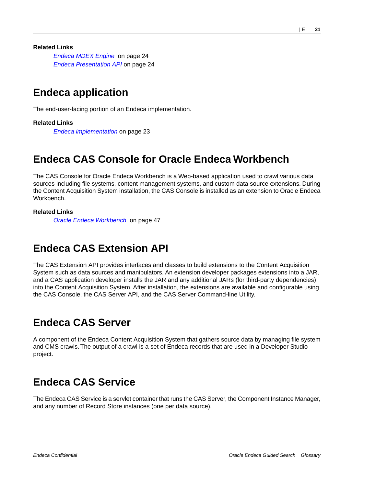**Related Links**

*[Endeca MDEX Engine](#page-23-1)* on page 24 *[Endeca Presentation API](#page-23-2)* on page 24

### <span id="page-20-0"></span>**Endeca application**

The end-user-facing portion of an Endeca implementation.

#### **Related Links**

*[Endeca implementation](#page-22-3)* on page 23

### <span id="page-20-1"></span>**Endeca CAS Console for Oracle Endeca Workbench**

The CAS Console for Oracle Endeca Workbench is a Web-based application used to crawl various data sources including file systems, content management systems, and custom data source extensions. During the Content Acquisition System installation, the CAS Console is installed as an extension to Oracle Endeca **Workbench** 

#### <span id="page-20-2"></span>**Related Links**

*[Oracle Endeca Workbench](#page-46-1)* on page 47

### **Endeca CAS Extension API**

<span id="page-20-3"></span>The CAS Extension API provides interfaces and classes to build extensions to the Content Acquisition System such as data sources and manipulators. An extension developer packages extensions into a JAR, and a CAS application developer installs the JAR and any additional JARs (for third-party dependencies) into the Content Acquisition System. After installation, the extensions are available and configurable using the CAS Console, the CAS Server API, and the CAS Server Command-line Utility.

### **Endeca CAS Server**

<span id="page-20-4"></span>A component of the Endeca Content Acquisition System that gathers source data by managing file system and CMS crawls. The output of a crawl is a set of Endeca records that are used in a Developer Studio project.

### **Endeca CAS Service**

The Endeca CAS Service is a servlet container that runs the CAS Server, the Component Instance Manager, and any number of Record Store instances (one per data source).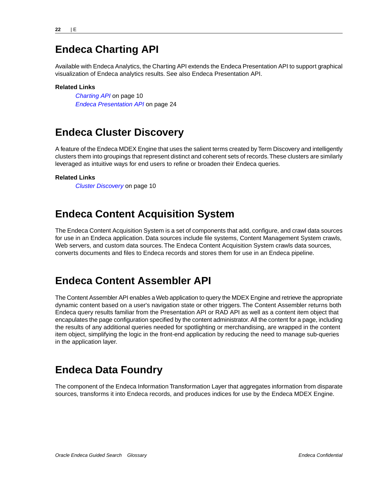### <span id="page-21-0"></span>**Endeca Charting API**

Available with Endeca Analytics, the Charting API extends the Endeca Presentation API to support graphical visualization of Endeca analytics results. See also Endeca Presentation API.

#### **Related Links**

*[Charting API](#page-9-1)* on page 10 *[Endeca Presentation API](#page-23-2)* on page 24

### <span id="page-21-1"></span>**Endeca Cluster Discovery**

A feature of the Endeca MDEX Engine that uses the salient terms created by Term Discovery and intelligently clusters them into groupings that represent distinct and coherent sets of records.These clusters are similarly leveraged as intuitive ways for end users to refine or broaden their Endeca queries.

#### <span id="page-21-2"></span>**Related Links**

*[Cluster Discovery](#page-9-3)* on page 10

### **Endeca Content Acquisition System**

<span id="page-21-3"></span>The Endeca Content Acquisition System is a set of components that add, configure, and crawl data sources for use in an Endeca application. Data sources include file systems, Content Management System crawls, Web servers, and custom data sources. The Endeca Content Acquisition System crawls data sources, converts documents and files to Endeca records and stores them for use in an Endeca pipeline.

### **Endeca Content Assembler API**

<span id="page-21-4"></span>The Content Assembler API enables a Web application to query the MDEX Engine and retrieve the appropriate dynamic content based on a user's navigation state or other triggers. The Content Assembler returns both Endeca query results familiar from the Presentation API or RAD API as well as a content item object that encapulates the page configuration specified by the content administrator. All the content for a page, including the results of any additional queries needed for spotlighting or merchandising, are wrapped in the content item object, simplifying the logic in the front-end application by reducing the need to manage sub-queries in the application layer.

### **Endeca Data Foundry**

The component of the Endeca Information Transformation Layer that aggregates information from disparate sources, transforms it into Endeca records, and produces indices for use by the Endeca MDEX Engine.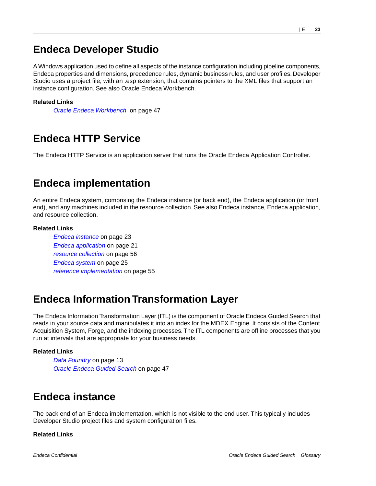### <span id="page-22-1"></span>**Endeca Developer Studio**

A Windows application used to define all aspects of the instance configuration including pipeline components, Endeca properties and dimensions, precedence rules, dynamic business rules, and user profiles. Developer Studio uses a project file, with an .esp extension, that contains pointers to the XML files that support an instance configuration. See also Oracle Endeca Workbench.

#### **Related Links**

*[Oracle Endeca Workbench](#page-46-1)* on page 47

### <span id="page-22-2"></span>**Endeca HTTP Service**

<span id="page-22-3"></span>The Endeca HTTP Service is an application server that runs the Oracle Endeca Application Controller.

### **Endeca implementation**

An entire Endeca system, comprising the Endeca instance (or back end), the Endeca application (or front end), and any machines included in the resource collection. See also Endeca instance, Endeca application, and resource collection.

#### **Related Links**

*[Endeca instance](#page-22-4)* on page 23 *[Endeca application](#page-20-0)* on page 21 *[resource collection](#page-55-0)* on page 56 *[Endeca system](#page-24-3)* on page 25 *[reference implementation](#page-54-2)* on page 55

### <span id="page-22-0"></span>**Endeca Information Transformation Layer**

The Endeca Information Transformation Layer (ITL) is the component of Oracle Endeca Guided Search that reads in your source data and manipulates it into an index for the MDEX Engine. It consists of the Content Acquisition System, Forge, and the indexing processes.The ITL components are offline processes that you run at intervals that are appropriate for your business needs.

#### <span id="page-22-4"></span>**Related Links**

*[Data Foundry](#page-12-0)* on page 13 *[Oracle Endeca Guided Search](#page-46-2)* on page 47

### **Endeca instance**

The back end of an Endeca implementation, which is not visible to the end user. This typically includes Developer Studio project files and system configuration files.

#### **Related Links**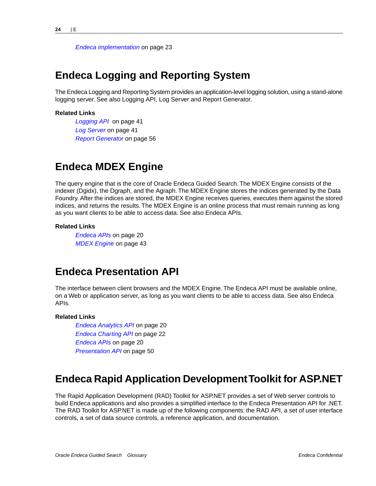*[Endeca implementation](#page-22-3)* on page 23

#### <span id="page-23-0"></span>**Endeca Logging and Reporting System**

The Endeca Logging and Reporting System provides an application-level logging solution, using a stand-alone logging server. See also Logging API, Log Server and Report Generator.

#### **Related Links**

*[Logging API](#page-40-2)* on page 41 *[Log Server](#page-40-3)* on page 41 *[Report Generator](#page-55-1)* on page 56

#### <span id="page-23-1"></span>**Endeca MDEX Engine**

The query engine that is the core of Oracle Endeca Guided Search. The MDEX Engine consists of the indexer (Dgidx), the Dgraph, and the Agraph. The MDEX Engine stores the indices generated by the Data Foundry. After the indices are stored, the MDEX Engine receives queries, executes them against the stored indices, and returns the results. The MDEX Engine is an online process that must remain running as long as you want clients to be able to access data. See also Endeca APIs.

#### <span id="page-23-2"></span>**Related Links**

*[Endeca APIs](#page-19-4)* on page 20 *[MDEX Engine](#page-42-0)* on page 43

#### **Endeca Presentation API**

The interface between client browsers and the MDEX Engine. The Endeca API must be available online, on a Web or application server, as long as you want clients to be able to access data. See also Endeca APIs.

#### <span id="page-23-3"></span>**Related Links**

*[Endeca Analytics API](#page-19-2)* on page 20 *[Endeca Charting API](#page-21-0)* on page 22 *[Endeca APIs](#page-19-4)* on page 20 *[Presentation API](#page-49-2)* on page 50

#### **Endeca Rapid Application Development Toolkit for ASP.NET**

The Rapid Application Development (RAD) Toolkit for ASP.NET provides a set of Web server controls to build Endeca applications and also provides a simplified interface to the Endeca Presentation API for .NET. The RAD Toolkit for ASP.NET is made up of the following components: the RAD API, a set of user interface controls, a set of data source controls, a reference application, and documentation.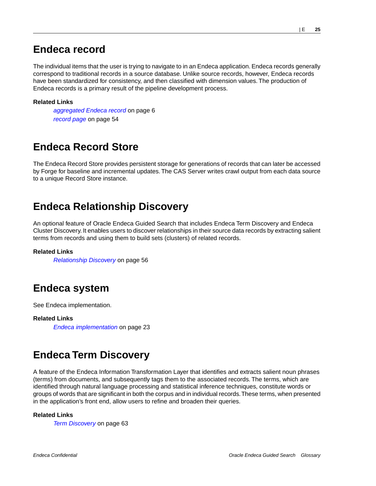### <span id="page-24-0"></span>**Endeca record**

The individual items that the user is trying to navigate to in an Endeca application. Endeca records generally correspond to traditional records in a source database. Unlike source records, however, Endeca records have been standardized for consistency, and then classified with dimension values. The production of Endeca records is a primary result of the pipeline development process.

#### **Related Links**

*[aggregated Endeca record](#page-5-1)* on page 6 *[record page](#page-53-0)* on page 54

### <span id="page-24-1"></span>**Endeca Record Store**

<span id="page-24-2"></span>The Endeca Record Store provides persistent storage for generations of records that can later be accessed by Forge for baseline and incremental updates. The CAS Server writes crawl output from each data source to a unique Record Store instance.

### **Endeca Relationship Discovery**

An optional feature of Oracle Endeca Guided Search that includes Endeca Term Discovery and Endeca Cluster Discovery. It enables users to discover relationships in their source data records by extracting salient terms from records and using them to build sets (clusters) of related records.

#### <span id="page-24-3"></span>**Related Links**

*[Relationship Discovery](#page-55-2)* on page 56

### **Endeca system**

See Endeca implementation.

<span id="page-24-4"></span>**Related Links** *[Endeca implementation](#page-22-3)* on page 23

## **Endeca Term Discovery**

A feature of the Endeca Information Transformation Layer that identifies and extracts salient noun phrases (terms) from documents, and subsequently tags them to the associated records. The terms, which are identified through natural language processing and statistical inference techniques, constitute words or groups of words that are significant in both the corpus and in individual records.These terms, when presented in the application's front end, allow users to refine and broaden their queries.

#### **Related Links**

*[Term Discovery](#page-62-0)* on page 63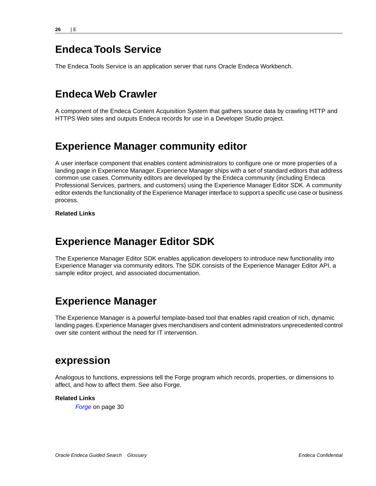### <span id="page-25-2"></span>**Endeca Tools Service**

The Endeca Tools Service is an application server that runs Oracle Endeca Workbench.

### <span id="page-25-3"></span>**Endeca Web Crawler**

A component of the Endeca Content Acquisition System that gathers source data by crawling HTTP and HTTPS Web sites and outputs Endeca records for use in a Developer Studio project.

## <span id="page-25-1"></span>**Experience Manager community editor**

A user interface component that enables content administrators to configure one or more properties of a landing page in Experience Manager. Experience Manager ships with a set of standard editors that address common use cases. Community editors are developed by the Endeca community (including Endeca Professional Services, partners, and customers) using the Experience Manager Editor SDK. A community editor extends the functionality of the Experience Manager interface to support a specific use case or business process.

#### <span id="page-25-4"></span>**Related Links**

### **Experience Manager Editor SDK**

<span id="page-25-0"></span>The Experience Manager Editor SDK enables application developers to introduce new functionality into Experience Manager via community editors. The SDK consists of the Experience Manager Editor API, a sample editor project, and associated documentation.

### **Experience Manager**

<span id="page-25-5"></span>The Experience Manager is a powerful template-based tool that enables rapid creation of rich, dynamic landing pages. Experience Manager gives merchandisers and content administrators unprecedented control over site content without the need for IT intervention.

#### **expression**

Analogous to functions, expressions tell the Forge program which records, properties, or dimensions to affect, and how to affect them. See also Forge.

#### **Related Links**

*[Forge](#page-29-1)* on page 30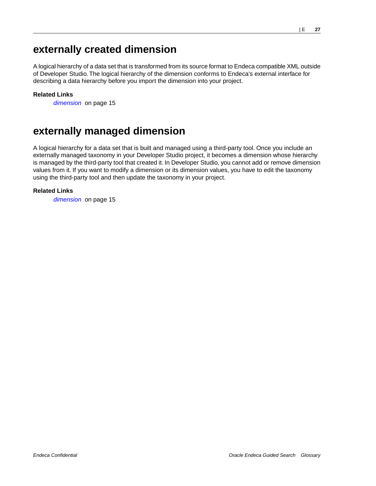## <span id="page-26-0"></span>**externally created dimension**

A logical hierarchy of a data set that is transformed from its source format to Endeca compatible XML outside of Developer Studio. The logical hierarchy of the dimension conforms to Endeca's external interface for describing a data hierarchy before you import the dimension into your project.

#### **Related Links**

*[dimension](#page-14-4)* on page 15

### <span id="page-26-1"></span>**externally managed dimension**

A logical hierarchy for a data set that is built and managed using a third-party tool. Once you include an externally managed taxonomy in your Developer Studio project, it becomes a dimension whose hierarchy is managed by the third-party tool that created it. In Developer Studio, you cannot add or remove dimension values from it. If you want to modify a dimension or its dimension values, you have to edit the taxonomy using the third-party tool and then update the taxonomy in your project.

#### **Related Links**

*[dimension](#page-14-4)* on page 15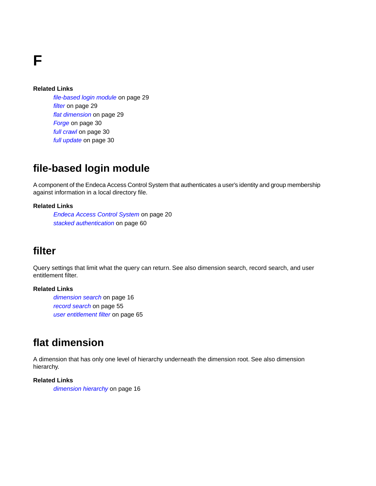**F**

#### **Related Links**

*[file-based login module](#page-28-2)* on page 29 *[filter](#page-28-1)* on page 29 *[flat dimension](#page-28-0)* on page 29 *[Forge](#page-29-1)* on page 30 *[full crawl](#page-29-2)* on page 30 *[full update](#page-29-0)* on page 30

### <span id="page-28-2"></span>**file-based login module**

A component of the Endeca Access Control System that authenticates a user's identity and group membership against information in a local directory file.

#### <span id="page-28-1"></span>**Related Links**

*[Endeca Access Control System](#page-19-1)* on page 20 *[stacked authentication](#page-59-2)* on page 60

### **filter**

Query settings that limit what the query can return. See also dimension search, record search, and user entitlement filter.

#### <span id="page-28-0"></span>**Related Links**

*[dimension search](#page-15-4)* on page 16 *[record search](#page-54-1)* on page 55 *[user entitlement filter](#page-64-0)* on page 65

### **flat dimension**

A dimension that has only one level of hierarchy underneath the dimension root. See also dimension hierarchy.

#### **Related Links**

*[dimension hierarchy](#page-15-0)* on page 16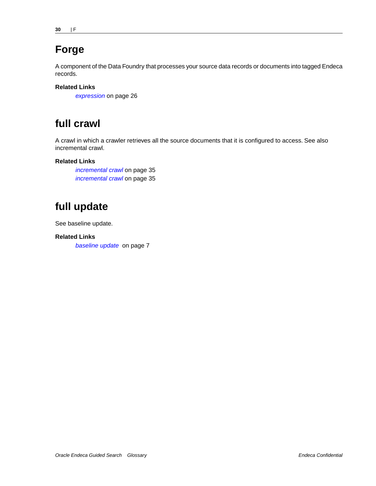## <span id="page-29-1"></span>**Forge**

A component of the Data Foundry that processes your source data records or documents into tagged Endeca records.

#### **Related Links**

*[expression](#page-25-5)* on page 26

## <span id="page-29-2"></span>**full crawl**

A crawl in which a crawler retrieves all the source documents that it is configured to access. See also incremental crawl.

#### **Related Links**

*[incremental crawl](#page-34-0)* on page 35 *[incremental crawl](#page-34-0)* on page 35

## <span id="page-29-0"></span>**full update**

See baseline update.

**Related Links** *[baseline update](#page-6-1)* on page 7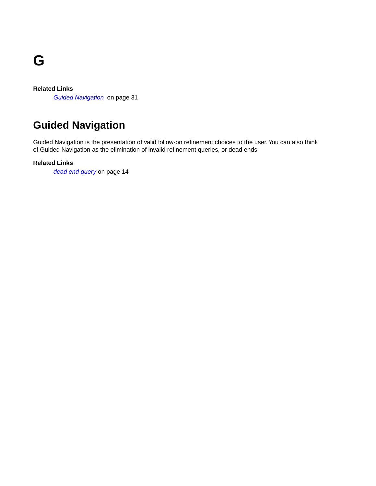

#### **Related Links**

*[Guided Navigation](#page-30-0)* on page 31

## <span id="page-30-0"></span>**Guided Navigation**

Guided Navigation is the presentation of valid follow-on refinement choices to the user. You can also think of Guided Navigation as the elimination of invalid refinement queries, or dead ends.

**Related Links**

*[dead end query](#page-13-2)* on page 14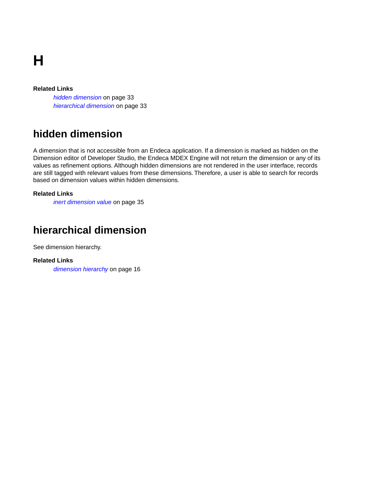**H**

#### **Related Links**

*[hidden dimension](#page-32-1)* on page 33 *[hierarchical dimension](#page-32-0)* on page 33

## <span id="page-32-1"></span>**hidden dimension**

A dimension that is not accessible from an Endeca application. If a dimension is marked as hidden on the Dimension editor of Developer Studio, the Endeca MDEX Engine will not return the dimension or any of its values as refinement options. Although hidden dimensions are not rendered in the user interface, records are still tagged with relevant values from these dimensions. Therefore, a user is able to search for records based on dimension values within hidden dimensions.

#### <span id="page-32-0"></span>**Related Links**

*[inert dimension value](#page-34-1)* on page 35

### **hierarchical dimension**

See dimension hierarchy.

**Related Links**

*[dimension hierarchy](#page-15-0)* on page 16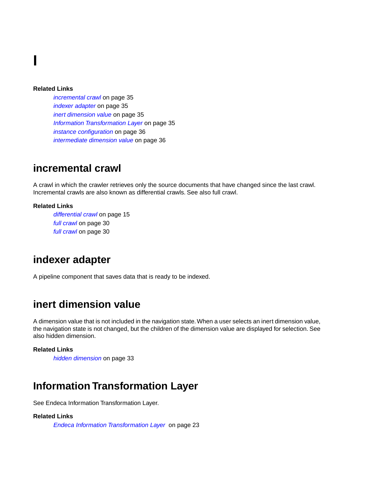**I**

#### **Related Links**

*[incremental crawl](#page-34-0)* on page 35 *[indexer adapter](#page-34-2)* on page 35 *[inert dimension value](#page-34-1)* on page 35 *[Information Transformation Layer](#page-34-3)* on page 35 *[instance configuration](#page-35-0)* on page 36 *[intermediate dimension value](#page-35-1)* on page 36

#### <span id="page-34-0"></span>**incremental crawl**

A crawl in which the crawler retrieves only the source documents that have changed since the last crawl. Incremental crawls are also known as differential crawls. See also full crawl.

#### <span id="page-34-2"></span>**Related Links**

*[differential crawl](#page-14-3)* on page 15 *[full crawl](#page-29-2)* on page 30 *[full crawl](#page-29-2)* on page 30

#### **indexer adapter**

<span id="page-34-1"></span>A pipeline component that saves data that is ready to be indexed.

### **inert dimension value**

A dimension value that is not included in the navigation state.When a user selects an inert dimension value, the navigation state is not changed, but the children of the dimension value are displayed for selection. See also hidden dimension.

#### <span id="page-34-3"></span>**Related Links**

*[hidden dimension](#page-32-1)* on page 33

### **Information Transformation Layer**

See Endeca Information Transformation Layer.

#### **Related Links**

*[Endeca Information Transformation Layer](#page-22-0)* on page 23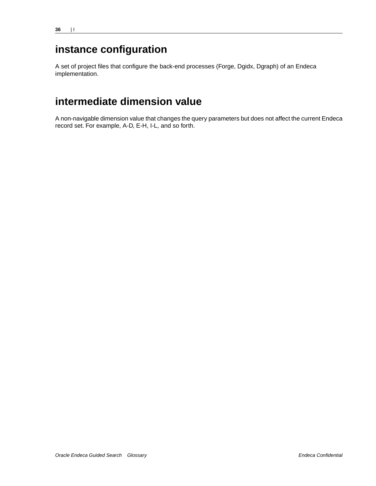## <span id="page-35-0"></span>**instance configuration**

A set of project files that configure the back-end processes (Forge, Dgidx, Dgraph) of an Endeca implementation.

## <span id="page-35-1"></span>**intermediate dimension value**

A non-navigable dimension value that changes the query parameters but does not affect the current Endeca record set. For example, A-D, E-H, I-L, and so forth.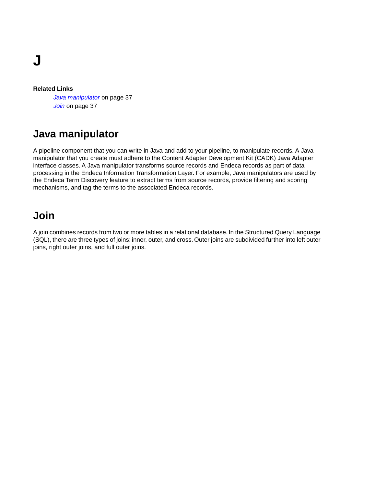**J**

#### **Related Links**

*[Java manipulator](#page-36-0)* on page 37 *[Join](#page-36-1)* on page 37

# <span id="page-36-0"></span>**Java manipulator**

A pipeline component that you can write in Java and add to your pipeline, to manipulate records. A Java manipulator that you create must adhere to the Content Adapter Development Kit (CADK) Java Adapter interface classes. A Java manipulator transforms source records and Endeca records as part of data processing in the Endeca Information Transformation Layer. For example, Java manipulators are used by the Endeca Term Discovery feature to extract terms from source records, provide filtering and scoring mechanisms, and tag the terms to the associated Endeca records.

# <span id="page-36-1"></span>**Join**

A join combines records from two or more tables in a relational database. In the Structured Query Language (SQL), there are three types of joins: inner, outer, and cross. Outer joins are subdivided further into left outer joins, right outer joins, and full outer joins.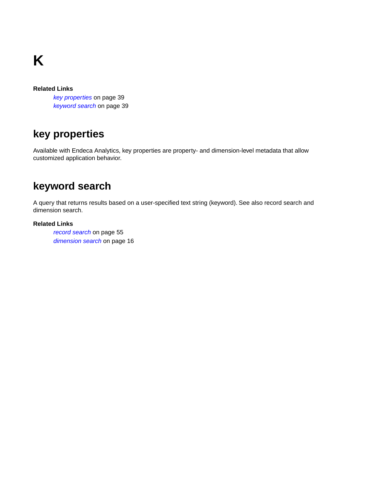**K**

### **Related Links**

*[key properties](#page-38-0)* on page 39 *[keyword search](#page-38-1)* on page 39

# <span id="page-38-0"></span>**key properties**

<span id="page-38-1"></span>Available with Endeca Analytics, key properties are property- and dimension-level metadata that allow customized application behavior.

# **keyword search**

A query that returns results based on a user-specified text string (keyword). See also record search and dimension search.

#### **Related Links**

*[record search](#page-54-0)* on page 55 *[dimension search](#page-15-0)* on page 16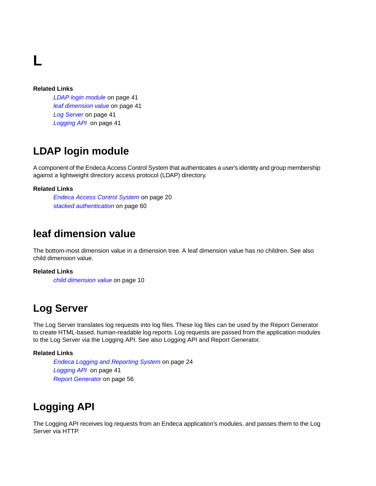**L**

#### **Related Links**

*[LDAP login module](#page-40-0)* on page 41 *[leaf dimension value](#page-40-1)* on page 41 *[Log Server](#page-40-2)* on page 41 *[Logging API](#page-40-3)* on page 41

## <span id="page-40-0"></span>**LDAP login module**

A component of the Endeca Access Control System that authenticates a user's identity and group membership against a lightweight directory access protocol (LDAP) directory.

### <span id="page-40-1"></span>**Related Links**

*[Endeca Access Control System](#page-19-0)* on page 20 *[stacked authentication](#page-59-0)* on page 60

### **leaf dimension value**

The bottom-most dimension value in a dimension tree. A leaf dimension value has no children. See also child dimension value.

### <span id="page-40-2"></span>**Related Links**

*[child dimension value](#page-9-0)* on page 10

### **Log Server**

The Log Server translates log requests into log files. These log files can be used by the Report Generator to create HTML-based, human-readable log reports. Log requests are passed from the application modules to the Log Server via the Logging API. See also Logging API and Report Generator.

#### <span id="page-40-3"></span>**Related Links**

*[Endeca Logging and Reporting System](#page-23-0)* on page 24 *[Logging API](#page-40-3)* on page 41 *[Report Generator](#page-55-0)* on page 56

# **Logging API**

The Logging API receives log requests from an Endeca application's modules, and passes them to the Log Server via HTTP.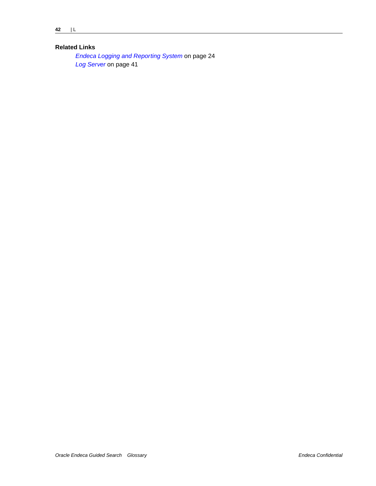### **Related Links**

*[Endeca Logging and Reporting System](#page-23-0)* on page 24 *[Log Server](#page-40-2)* on page 41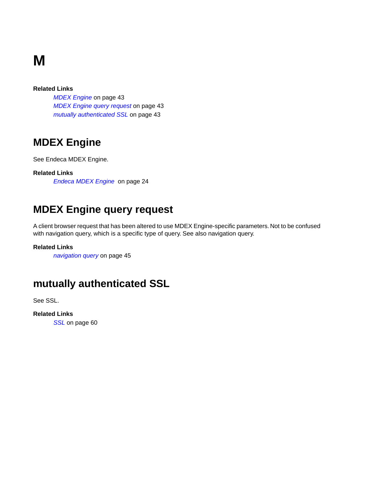# **M**

### **Related Links**

*[MDEX Engine](#page-42-0)* on page 43 *[MDEX Engine query request](#page-42-1)* on page 43 *[mutually authenticated SSL](#page-42-2)* on page 43

# <span id="page-42-0"></span>**MDEX Engine**

See Endeca MDEX Engine.

<span id="page-42-1"></span>**Related Links**

*[Endeca MDEX Engine](#page-23-1)* on page 24

# **MDEX Engine query request**

A client browser request that has been altered to use MDEX Engine-specific parameters. Not to be confused with navigation query, which is a specific type of query. See also navigation query.

### <span id="page-42-2"></span>**Related Links**

*[navigation query](#page-44-0)* on page 45

# **mutually authenticated SSL**

See SSL.

**Related Links** *[SSL](#page-59-1)* on page 60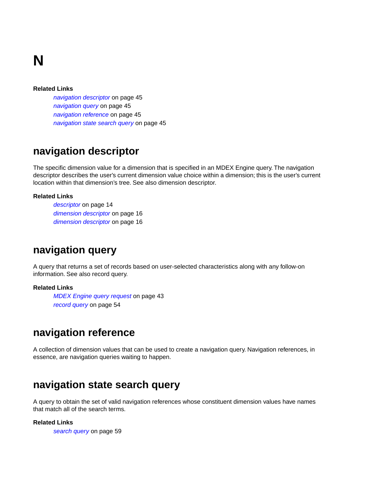# **N**

#### **Related Links**

*[navigation descriptor](#page-44-1)* on page 45 *[navigation query](#page-44-0)* on page 45 *[navigation reference](#page-44-2)* on page 45 *[navigation state search query](#page-44-3)* on page 45

### <span id="page-44-1"></span>**navigation descriptor**

The specific dimension value for a dimension that is specified in an MDEX Engine query. The navigation descriptor describes the user's current dimension value choice within a dimension; this is the user's current location within that dimension's tree. See also dimension descriptor.

#### **Related Links**

*[descriptor](#page-13-0)* on page 14 *[dimension descriptor](#page-15-1)* on page 16 *[dimension descriptor](#page-15-1)* on page 16

### <span id="page-44-0"></span>**navigation query**

A query that returns a set of records based on user-selected characteristics along with any follow-on information. See also record query.

#### <span id="page-44-2"></span>**Related Links**

*[MDEX Engine query request](#page-42-1)* on page 43 *[record query](#page-53-0)* on page 54

# **navigation reference**

<span id="page-44-3"></span>A collection of dimension values that can be used to create a navigation query. Navigation references, in essence, are navigation queries waiting to happen.

### **navigation state search query**

A query to obtain the set of valid navigation references whose constituent dimension values have names that match all of the search terms.

#### **Related Links**

*[search query](#page-58-0)* on page 59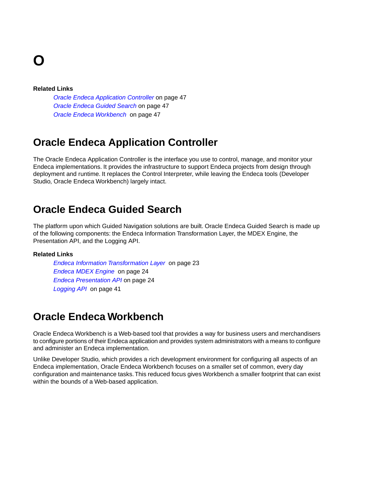# **O**

#### **Related Links**

*[Oracle Endeca Application Controller](#page-46-0)* on page 47 *[Oracle Endeca Guided Search](#page-46-1)* on page 47 *[Oracle Endeca Workbench](#page-46-2)* on page 47

# <span id="page-46-0"></span>**Oracle Endeca Application Controller**

The Oracle Endeca Application Controller is the interface you use to control, manage, and monitor your Endeca implementations. It provides the infrastructure to support Endeca projects from design through deployment and runtime. It replaces the Control Interpreter, while leaving the Endeca tools (Developer Studio, Oracle Endeca Workbench) largely intact.

### <span id="page-46-1"></span>**Oracle Endeca Guided Search**

The platform upon which Guided Navigation solutions are built. Oracle Endeca Guided Search is made up of the following components: the Endeca Information Transformation Layer, the MDEX Engine, the Presentation API, and the Logging API.

#### <span id="page-46-2"></span>**Related Links**

*[Endeca Information Transformation Layer](#page-22-0)* on page 23 *[Endeca MDEX Engine](#page-23-1)* on page 24 *[Endeca Presentation API](#page-23-2)* on page 24 *[Logging API](#page-40-3)* on page 41

# **Oracle Endeca Workbench**

Oracle Endeca Workbench is a Web-based tool that provides a way for business users and merchandisers to configure portions of their Endeca application and provides system administrators with a means to configure and administer an Endeca implementation.

Unlike Developer Studio, which provides a rich development environment for configuring all aspects of an Endeca implementation, Oracle Endeca Workbench focuses on a smaller set of common, every day configuration and maintenance tasks.This reduced focus gives Workbench a smaller footprint that can exist within the bounds of a Web-based application.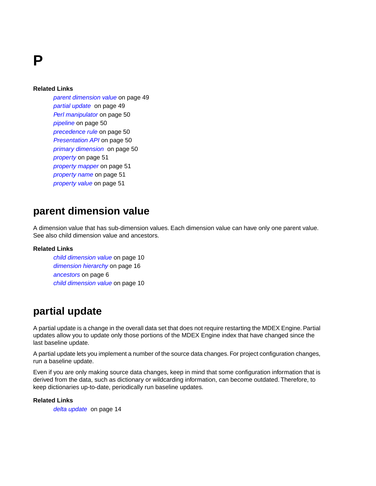**P**

#### **Related Links**

*[parent dimension value](#page-48-0)* on page 49 *[partial update](#page-48-1)* on page 49 *[Perl manipulator](#page-49-0)* on page 50 *[pipeline](#page-49-1)* on page 50 *[precedence rule](#page-49-2)* on page 50 *[Presentation API](#page-49-3)* on page 50 *[primary dimension](#page-49-4)* on page 50 *[property](#page-50-0)* on page 51 *[property mapper](#page-50-1)* on page 51 *[property name](#page-50-2)* on page 51 *[property value](#page-50-3)* on page 51

### <span id="page-48-0"></span>**parent dimension value**

A dimension value that has sub-dimension values. Each dimension value can have only one parent value. See also child dimension value and ancestors.

#### <span id="page-48-1"></span>**Related Links**

*[child dimension value](#page-9-0)* on page 10 *[dimension hierarchy](#page-15-2)* on page 16 *[ancestors](#page-5-0)* on page 6 *[child dimension value](#page-9-0)* on page 10

### **partial update**

A partial update is a change in the overall data set that does not require restarting the MDEX Engine. Partial updates allow you to update only those portions of the MDEX Engine index that have changed since the last baseline update.

A partial update lets you implement a number of the source data changes. For project configuration changes, run a baseline update.

Even if you are only making source data changes, keep in mind that some configuration information that is derived from the data, such as dictionary or wildcarding information, can become outdated. Therefore, to keep dictionaries up-to-date, periodically run baseline updates.

#### **Related Links**

*[delta update](#page-13-1)* on page 14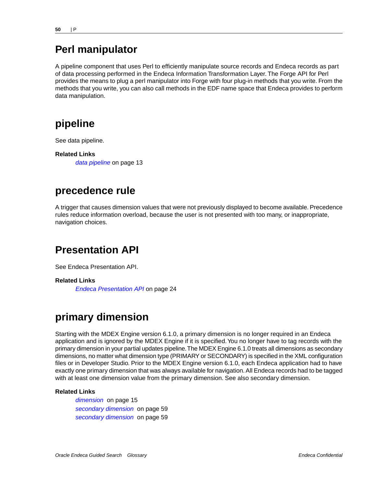# <span id="page-49-0"></span>**Perl manipulator**

A pipeline component that uses Perl to efficiently manipulate source records and Endeca records as part of data processing performed in the Endeca Information Transformation Layer. The Forge API for Perl provides the means to plug a perl manipulator into Forge with four plug-in methods that you write. From the methods that you write, you can also call methods in the EDF name space that Endeca provides to perform data manipulation.

# <span id="page-49-1"></span>**pipeline**

See data pipeline.

<span id="page-49-2"></span>**Related Links** *[data pipeline](#page-12-0)* on page 13

### **precedence rule**

<span id="page-49-3"></span>A trigger that causes dimension values that were not previously displayed to become available. Precedence rules reduce information overload, because the user is not presented with too many, or inappropriate, navigation choices.

# **Presentation API**

See Endeca Presentation API.

<span id="page-49-4"></span>**Related Links**

*[Endeca Presentation API](#page-23-2)* on page 24

# **primary dimension**

Starting with the MDEX Engine version 6.1.0, a primary dimension is no longer required in an Endeca application and is ignored by the MDEX Engine if it is specified. You no longer have to tag records with the primary dimension in your partial updates pipeline.The MDEX Engine 6.1.0 treats all dimensions as secondary dimensions, no matter what dimension type (PRIMARY or SECONDARY) is specified in the XML configuration files or in Developer Studio. Prior to the MDEX Engine version 6.1.0, each Endeca application had to have exactly one primary dimension that was always available for navigation. All Endeca records had to be tagged with at least one dimension value from the primary dimension. See also secondary dimension.

#### **Related Links**

*[dimension](#page-14-0)* on page 15 *[secondary dimension](#page-58-1)* on page 59 *[secondary dimension](#page-58-1)* on page 59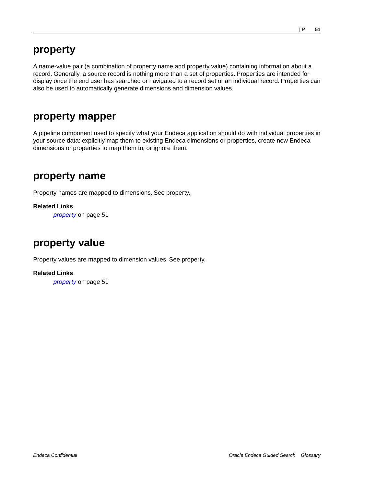### <span id="page-50-0"></span>**property**

A name-value pair (a combination of property name and property value) containing information about a record. Generally, a source record is nothing more than a set of properties. Properties are intended for display once the end user has searched or navigated to a record set or an individual record. Properties can also be used to automatically generate dimensions and dimension values.

### <span id="page-50-1"></span>**property mapper**

A pipeline component used to specify what your Endeca application should do with individual properties in your source data: explicitly map them to existing Endeca dimensions or properties, create new Endeca dimensions or properties to map them to, or ignore them.

### <span id="page-50-2"></span>**property name**

Property names are mapped to dimensions. See property.

<span id="page-50-3"></span>**Related Links**

*[property](#page-50-0)* on page 51

# **property value**

Property values are mapped to dimension values. See property.

**Related Links**

*[property](#page-50-0)* on page 51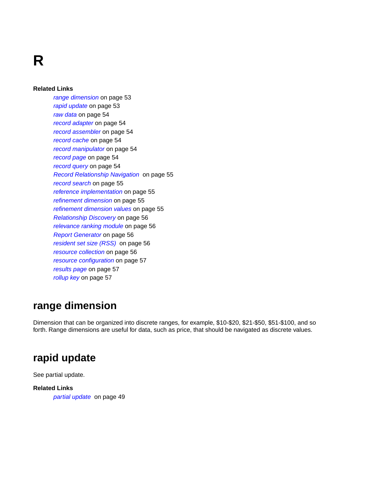**R**

#### **Related Links**

*[range dimension](#page-52-0)* on page 53 *[rapid update](#page-52-1)* on page 53 *[raw data](#page-53-1)* on page 54 *[record adapter](#page-53-2)* on page 54 *[record assembler](#page-53-3)* on page 54 *[record cache](#page-53-4)* on page 54 *[record manipulator](#page-53-5)* on page 54 *[record page](#page-53-6)* on page 54 *[record query](#page-53-0)* on page 54 *[Record Relationship Navigation](#page-54-1)* on page 55 *[record search](#page-54-0)* on page 55 *[reference implementation](#page-54-2)* on page 55 *[refinement dimension](#page-54-3)* on page 55 *[refinement dimension values](#page-54-4)* on page 55 *[Relationship Discovery](#page-55-1)* on page 56 *[relevance ranking module](#page-55-2)* on page 56 *[Report Generator](#page-55-0)* on page 56 *[resident set size \(RSS\)](#page-55-3)* on page 56 *[resource collection](#page-55-4)* on page 56 *[resource configuration](#page-56-0)* on page 57 *[results page](#page-56-1)* on page 57 *[rollup key](#page-56-2)* on page 57

# <span id="page-52-0"></span>**range dimension**

<span id="page-52-1"></span>Dimension that can be organized into discrete ranges, for example, \$10-\$20, \$21-\$50, \$51-\$100, and so forth. Range dimensions are useful for data, such as price, that should be navigated as discrete values.

### **rapid update**

See partial update.

### **Related Links**

*[partial update](#page-48-1)* on page 49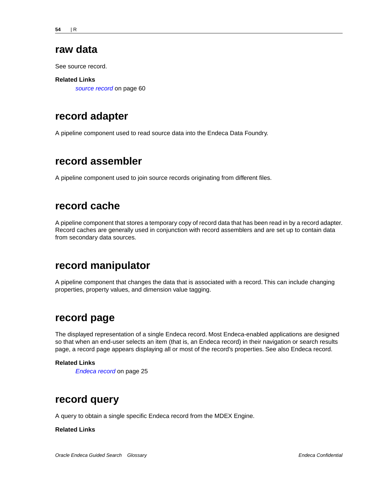### <span id="page-53-1"></span>**raw data**

See source record.

#### **Related Links**

*[source record](#page-59-2)* on page 60

### <span id="page-53-2"></span>**record adapter**

<span id="page-53-3"></span>A pipeline component used to read source data into the Endeca Data Foundry.

### **record assembler**

<span id="page-53-4"></span>A pipeline component used to join source records originating from different files.

### **record cache**

<span id="page-53-5"></span>A pipeline component that stores a temporary copy of record data that has been read in by a record adapter. Record caches are generally used in conjunction with record assemblers and are set up to contain data from secondary data sources.

# **record manipulator**

<span id="page-53-6"></span>A pipeline component that changes the data that is associated with a record. This can include changing properties, property values, and dimension value tagging.

# **record page**

The displayed representation of a single Endeca record. Most Endeca-enabled applications are designed so that when an end-user selects an item (that is, an Endeca record) in their navigation or search results page, a record page appears displaying all or most of the record's properties. See also Endeca record.

### <span id="page-53-0"></span>**Related Links**

*[Endeca record](#page-24-0)* on page 25

### **record query**

A query to obtain a single specific Endeca record from the MDEX Engine.

#### **Related Links**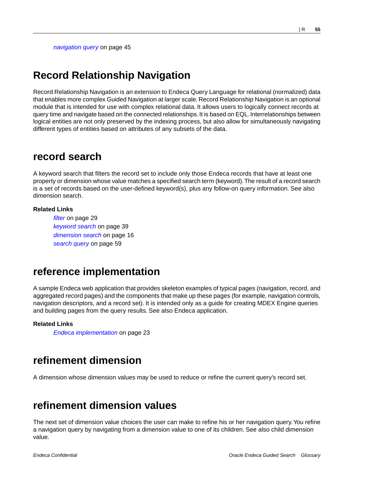*[navigation query](#page-44-0)* on page 45

## <span id="page-54-1"></span>**Record Relationship Navigation**

Record Relationship Navigation is an extension to Endeca Query Language for relational (normalized) data that enables more complex Guided Navigation at larger scale. Record Relationship Navigation is an optional module that is intended for use with complex relational data. It allows users to logically connect records at query time and navigate based on the connected relationships. It is based on EQL. Interrelationships between logical entities are not only preserved by the indexing process, but also allow for simultaneously navigating different types of entities based on attributes of any subsets of the data.

### <span id="page-54-0"></span>**record search**

A keyword search that filters the record set to include only those Endeca records that have at least one property or dimension whose value matches a specified search term (keyword).The result of a record search is a set of records based on the user-defined keyword(s), plus any follow-on query information. See also dimension search.

#### **Related Links**

*[filter](#page-28-0)* on page 29 *[keyword search](#page-38-1)* on page 39 *[dimension search](#page-15-0)* on page 16 *[search query](#page-58-0)* on page 59

### <span id="page-54-2"></span>**reference implementation**

A sample Endeca web application that provides skeleton examples of typical pages (navigation, record, and aggregated record pages) and the components that make up these pages (for example, navigation controls, navigation descriptors, and a record set). It is intended only as a guide for creating MDEX Engine queries and building pages from the query results. See also Endeca application.

#### <span id="page-54-3"></span>**Related Links**

*[Endeca implementation](#page-22-1)* on page 23

### <span id="page-54-4"></span>**refinement dimension**

A dimension whose dimension values may be used to reduce or refine the current query's record set.

# **refinement dimension values**

The next set of dimension value choices the user can make to refine his or her navigation query.You refine a navigation query by navigating from a dimension value to one of its children. See also child dimension value.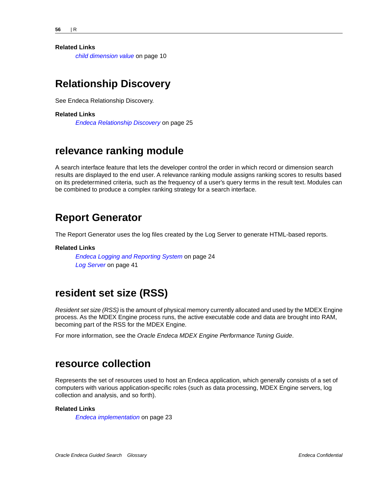#### **Related Links**

*[child dimension value](#page-9-0)* on page 10

### <span id="page-55-1"></span>**Relationship Discovery**

See Endeca Relationship Discovery.

#### **Related Links**

*[Endeca Relationship Discovery](#page-24-1)* on page 25

### <span id="page-55-2"></span>**relevance ranking module**

A search interface feature that lets the developer control the order in which record or dimension search results are displayed to the end user. A relevance ranking module assigns ranking scores to results based on its predetermined criteria, such as the frequency of a user's query terms in the result text. Modules can be combined to produce a complex ranking strategy for a search interface.

### <span id="page-55-0"></span>**Report Generator**

The Report Generator uses the log files created by the Log Server to generate HTML-based reports.

#### <span id="page-55-3"></span>**Related Links**

*[Endeca Logging and Reporting System](#page-23-0)* on page 24 *[Log Server](#page-40-2)* on page 41

### **resident set size (RSS)**

*Resident set size (RSS)* is the amount of physical memory currently allocated and used by the MDEX Engine process. As the MDEX Engine process runs, the active executable code and data are brought into RAM, becoming part of the RSS for the MDEX Engine.

<span id="page-55-4"></span>For more information, see the *Oracle Endeca MDEX Engine Performance Tuning Guide*.

### **resource collection**

Represents the set of resources used to host an Endeca application, which generally consists of a set of computers with various application-specific roles (such as data processing, MDEX Engine servers, log collection and analysis, and so forth).

#### **Related Links**

*[Endeca implementation](#page-22-1)* on page 23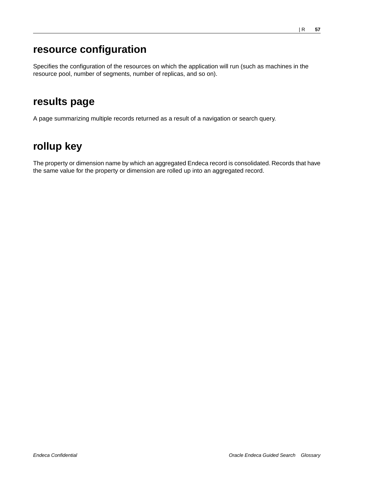# <span id="page-56-0"></span>**resource configuration**

Specifies the configuration of the resources on which the application will run (such as machines in the resource pool, number of segments, number of replicas, and so on).

# <span id="page-56-1"></span>**results page**

<span id="page-56-2"></span>A page summarizing multiple records returned as a result of a navigation or search query.

# **rollup key**

The property or dimension name by which an aggregated Endeca record is consolidated. Records that have the same value for the property or dimension are rolled up into an aggregated record.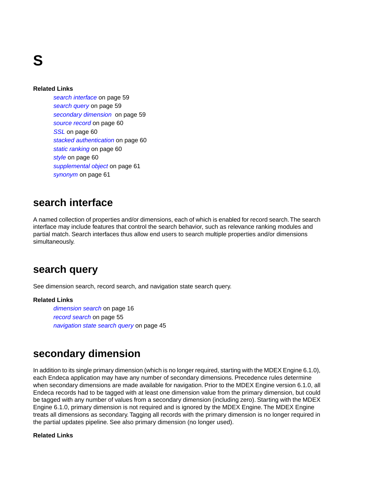**S**

#### **Related Links**

*[search interface](#page-58-2)* on page 59 *[search query](#page-58-0)* on page 59 *[secondary dimension](#page-58-1)* on page 59 *[source record](#page-59-2)* on page 60 *[SSL](#page-59-1)* on page 60 *[stacked authentication](#page-59-0)* on page 60 *[static ranking](#page-59-3)* on page 60 *[style](#page-59-4)* on page 60 *[supplemental object](#page-60-0)* on page 61 *[synonym](#page-60-1)* on page 61

### <span id="page-58-2"></span>**search interface**

<span id="page-58-0"></span>A named collection of properties and/or dimensions, each of which is enabled for record search.The search interface may include features that control the search behavior, such as relevance ranking modules and partial match. Search interfaces thus allow end users to search multiple properties and/or dimensions simultaneously.

### **search query**

See dimension search, record search, and navigation state search query.

#### <span id="page-58-1"></span>**Related Links**

*[dimension search](#page-15-0)* on page 16 *[record search](#page-54-0)* on page 55 *[navigation state search query](#page-44-3)* on page 45

### **secondary dimension**

In addition to its single primary dimension (which is no longer required, starting with the MDEX Engine 6.1.0), each Endeca application may have any number of secondary dimensions. Precedence rules determine when secondary dimensions are made available for navigation. Prior to the MDEX Engine version 6.1.0, all Endeca records had to be tagged with at least one dimension value from the primary dimension, but could be tagged with any number of values from a secondary dimension (including zero). Starting with the MDEX Engine 6.1.0, primary dimension is not required and is ignored by the MDEX Engine. The MDEX Engine treats all dimensions as secondary. Tagging all records with the primary dimension is no longer required in the partial updates pipeline. See also primary dimension (no longer used).

#### **Related Links**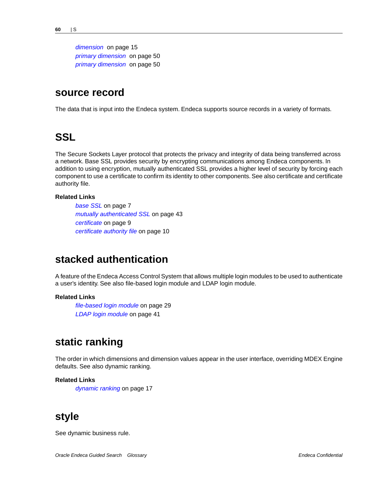*[dimension](#page-14-0)* on page 15 *[primary dimension](#page-49-4)* on page 50 *[primary dimension](#page-49-4)* on page 50

### <span id="page-59-2"></span>**source record**

<span id="page-59-1"></span>The data that is input into the Endeca system. Endeca supports source records in a variety of formats.

### **SSL**

The Secure Sockets Layer protocol that protects the privacy and integrity of data being transferred across a network. Base SSL provides security by encrypting communications among Endeca components. In addition to using encryption, mutually authenticated SSL provides a higher level of security by forcing each component to use a certificate to confirm its identity to other components. See also certificate and certificate authority file.

#### **Related Links**

*[base SSL](#page-6-0)* on page 7 *[mutually authenticated SSL](#page-42-2)* on page 43 *[certificate](#page-8-0)* on page 9 *[certificate authority file](#page-9-1)* on page 10

### <span id="page-59-0"></span>**stacked authentication**

A feature of the Endeca Access Control System that allows multiple login modules to be used to authenticate a user's identity. See also file-based login module and LDAP login module.

#### <span id="page-59-3"></span>**Related Links**

*[file-based login module](#page-28-1)* on page 29 *[LDAP login module](#page-40-0)* on page 41

### **static ranking**

The order in which dimensions and dimension values appear in the user interface, overriding MDEX Engine defaults. See also dynamic ranking.

#### <span id="page-59-4"></span>**Related Links**

*[dynamic ranking](#page-16-0)* on page 17

### **style**

See dynamic business rule.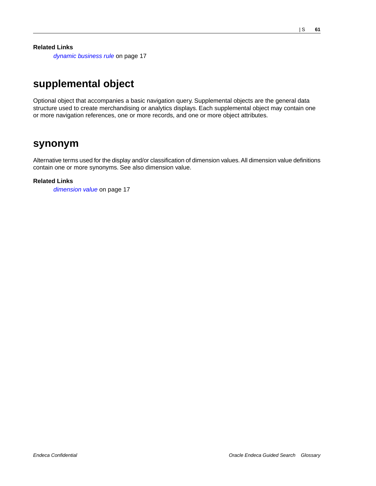**Related Links**

*[dynamic business rule](#page-16-1)* on page 17

# <span id="page-60-0"></span>**supplemental object**

Optional object that accompanies a basic navigation query. Supplemental objects are the general data structure used to create merchandising or analytics displays. Each supplemental object may contain one or more navigation references, one or more records, and one or more object attributes.

### <span id="page-60-1"></span>**synonym**

Alternative terms used for the display and/or classification of dimension values. All dimension value definitions contain one or more synonyms. See also dimension value.

#### **Related Links**

*[dimension value](#page-16-2)* on page 17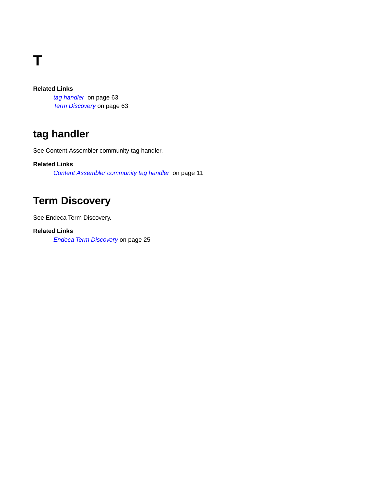**T**

### **Related Links**

*[tag handler](#page-62-0)* on page 63 *[Term Discovery](#page-62-1)* on page 63

# <span id="page-62-0"></span>**tag handler**

See Content Assembler community tag handler.

### <span id="page-62-1"></span>**Related Links**

*[Content Assembler community tag handler](#page-10-0)* on page 11

# **Term Discovery**

See Endeca Term Discovery.

### **Related Links**

*[Endeca Term Discovery](#page-24-2)* on page 25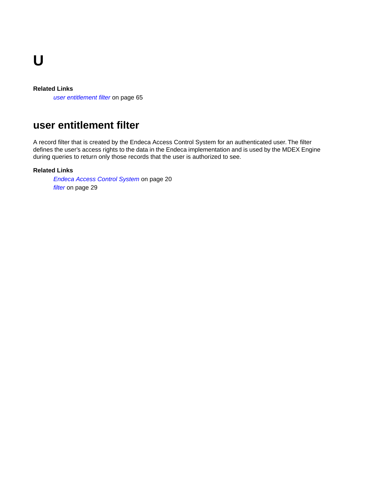**U**

#### **Related Links**

*[user entitlement filter](#page-64-0)* on page 65

# <span id="page-64-0"></span>**user entitlement filter**

A record filter that is created by the Endeca Access Control System for an authenticated user. The filter defines the user's access rights to the data in the Endeca implementation and is used by the MDEX Engine during queries to return only those records that the user is authorized to see.

#### **Related Links**

*[Endeca Access Control System](#page-19-0)* on page 20 *[filter](#page-28-0)* on page 29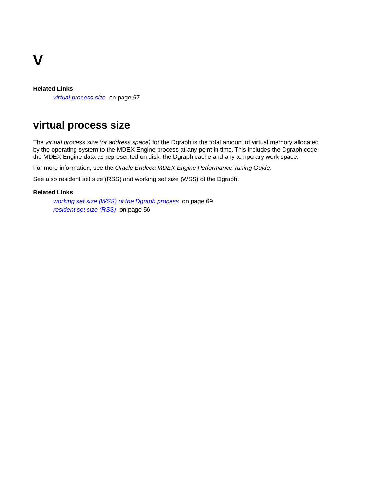

#### **Related Links**

*[virtual process size](#page-66-0)* on page 67

# <span id="page-66-0"></span>**virtual process size**

The *virtual process size (or address space)* for the Dgraph is the total amount of virtual memory allocated by the operating system to the MDEX Engine process at any point in time. This includes the Dgraph code, the MDEX Engine data as represented on disk, the Dgraph cache and any temporary work space.

For more information, see the *Oracle Endeca MDEX Engine Performance Tuning Guide*.

See also resident set size (RSS) and working set size (WSS) of the Dgraph.

#### **Related Links**

*[working set size \(WSS\) of the Dgraph process](#page-68-0)* on page 69 *[resident set size \(RSS\)](#page-55-3)* on page 56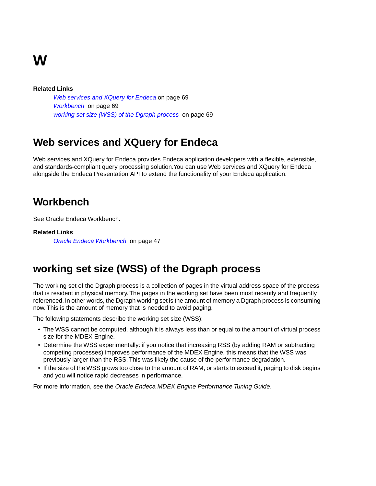# **W**

#### **Related Links**

*[Web services and XQuery for Endeca](#page-68-1)* on page 69 *[Workbench](#page-68-2)* on page 69 *[working set size \(WSS\) of the Dgraph process](#page-68-0)* on page 69

# <span id="page-68-1"></span>**Web services and XQuery for Endeca**

Web services and XQuery for Endeca provides Endeca application developers with a flexible, extensible, and standards-compliant query processing solution.You can use Web services and XQuery for Endeca alongside the Endeca Presentation API to extend the functionality of your Endeca application.

# <span id="page-68-2"></span>**Workbench**

See Oracle Endeca Workbench.

#### <span id="page-68-0"></span>**Related Links**

*[Oracle Endeca Workbench](#page-46-2)* on page 47

# **working set size (WSS) of the Dgraph process**

The working set of the Dgraph process is a collection of pages in the virtual address space of the process that is resident in physical memory. The pages in the working set have been most recently and frequently referenced. In other words, the Dgraph working set is the amount of memory a Dgraph process is consuming now. This is the amount of memory that is needed to avoid paging.

The following statements describe the working set size (WSS):

- The WSS cannot be computed, although it is always less than or equal to the amount of virtual process size for the MDEX Engine.
- Determine the WSS experimentally: if you notice that increasing RSS (by adding RAM or subtracting competing processes) improves performance of the MDEX Engine, this means that the WSS was previously larger than the RSS. This was likely the cause of the performance degradation.
- If the size of the WSS grows too close to the amount of RAM, or starts to exceed it, paging to disk begins and you will notice rapid decreases in performance.

For more information, see the *Oracle Endeca MDEX Engine Performance Tuning Guide*.